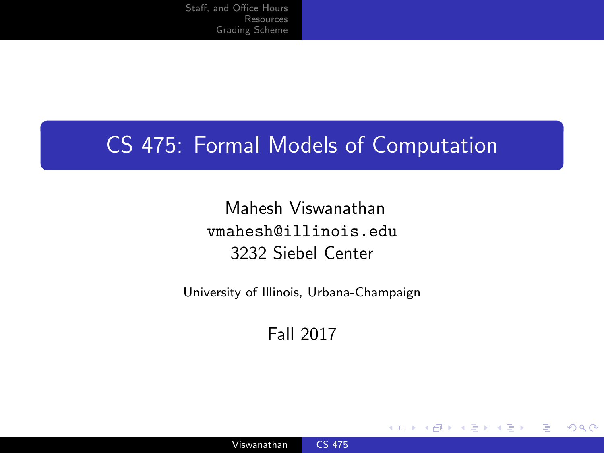### <span id="page-0-0"></span>CS 475: Formal Models of Computation

Mahesh Viswanathan vmahesh@illinois.edu 3232 Siebel Center

University of Illinois, Urbana-Champaign

Fall 2017

4 0 8

∍

 $200$ 

Viswanathan [CS 475](#page-29-0)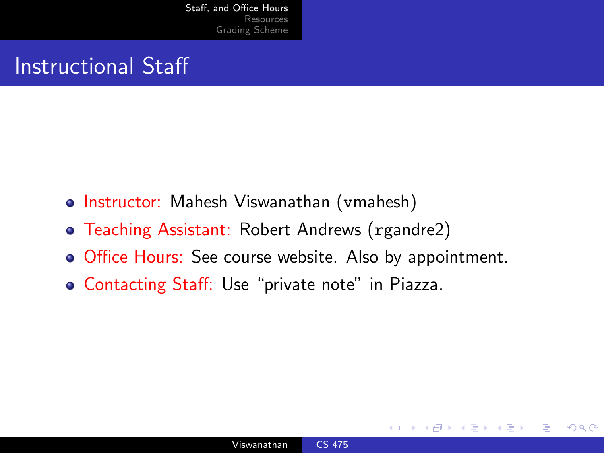### <span id="page-1-0"></span>Instructional Staff

- Instructor: Mahesh Viswanathan (vmahesh)
- Teaching Assistant: Robert Andrews (rgandre2)
- Office Hours: See course website. Also by appointment.
- Contacting Staff: Use "private note" in Piazza.

 $\Omega$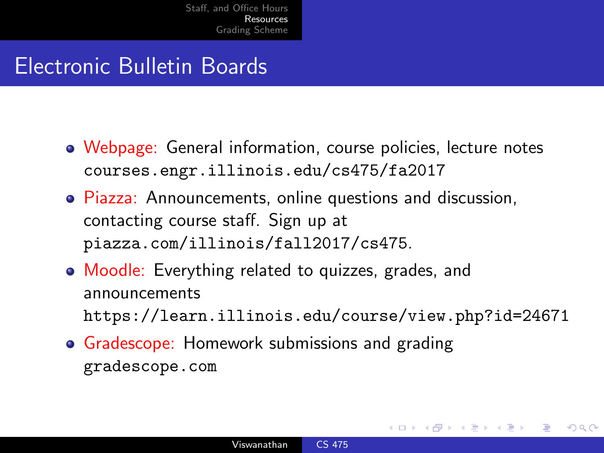### <span id="page-2-0"></span>Electronic Bulletin Boards

- Webpage: General information, course policies, lecture notes courses.engr.illinois.edu/cs475/fa2017
- Piazza: Announcements, online questions and discussion, contacting course staff. Sign up at piazza.com/illinois/fall2017/cs475.
- Moodle: Everything related to quizzes, grades, and announcements https://learn.illinois.edu/course/view.php?id=24671
- **Gradescope: Homework submissions and grading** gradescope.com

 $\Omega$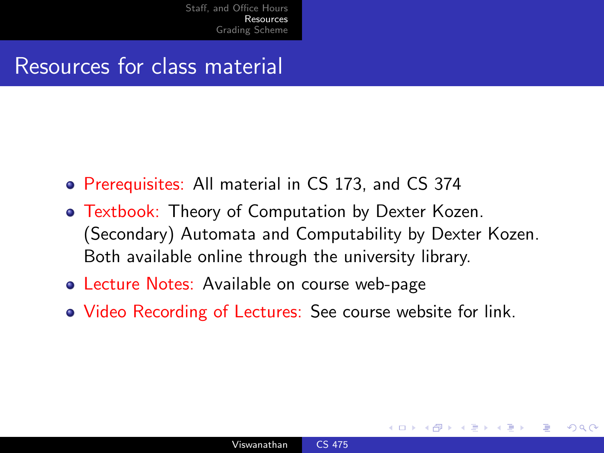#### Resources for class material

- Prerequisites: All material in CS 173, and CS 374
- Textbook: Theory of Computation by Dexter Kozen. (Secondary) Automata and Computability by Dexter Kozen. Both available online through the university library.
- **Lecture Notes: Available on course web-page**
- Video Recording of Lectures: See course website for link.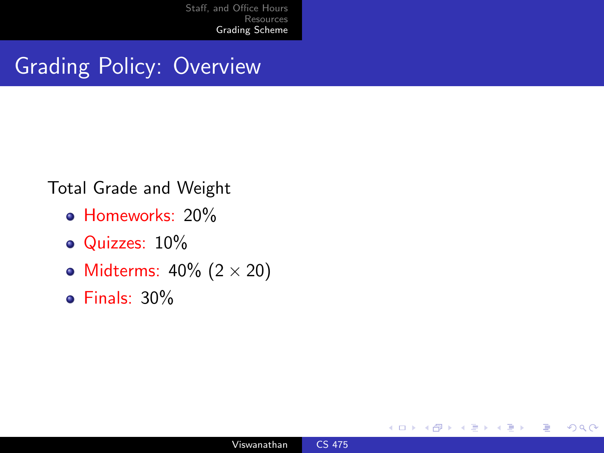### <span id="page-4-0"></span>Grading Policy: Overview

#### Total Grade and Weight

- **Homeworks: 20%**
- Quizzes: 10%
- Midterms:  $40\%$  (2  $\times$  20)
- Finals: 30%

 $\leftarrow$ 

つくへ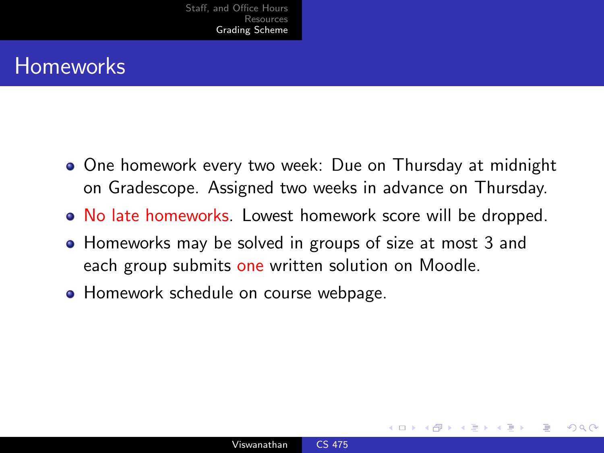### **Homeworks**

- One homework every two week: Due on Thursday at midnight on Gradescope. Assigned two weeks in advance on Thursday.
- No late homeworks. Lowest homework score will be dropped.
- Homeworks may be solved in groups of size at most 3 and each group submits one written solution on Moodle.
- Homework schedule on course webpage.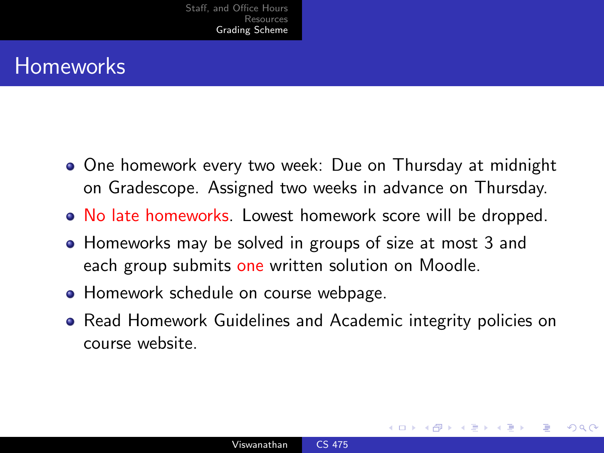### **Homeworks**

- One homework every two week: Due on Thursday at midnight on Gradescope. Assigned two weeks in advance on Thursday.
- No late homeworks. Lowest homework score will be dropped.
- Homeworks may be solved in groups of size at most 3 and each group submits one written solution on Moodle.
- Homework schedule on course webpage.
- Read Homework Guidelines and Academic integrity policies on course website.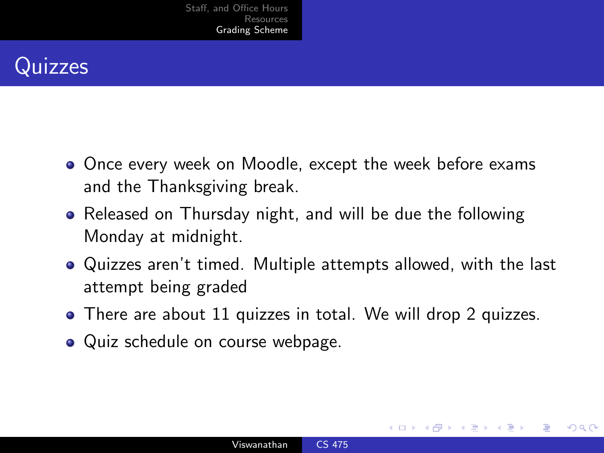

- **•** Once every week on Moodle, except the week before exams and the Thanksgiving break.
- Released on Thursday night, and will be due the following Monday at midnight.
- Quizzes aren't timed. Multiple attempts allowed, with the last attempt being graded
- There are about 11 quizzes in total. We will drop 2 quizzes.
- Quiz schedule on course webpage.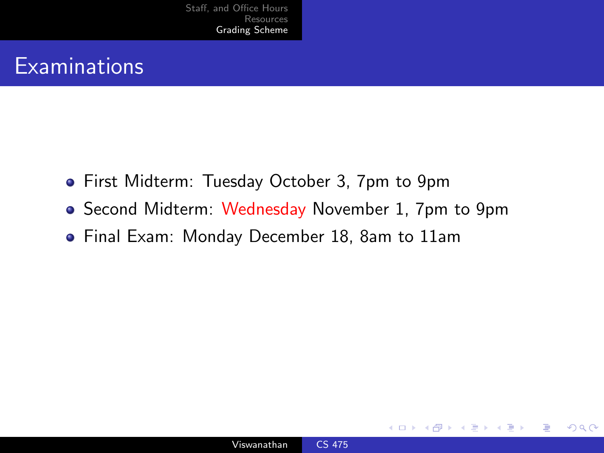### **Examinations**

- First Midterm: Tuesday October 3, 7pm to 9pm
- Second Midterm: Wednesday November 1, 7pm to 9pm
- Final Exam: Monday December 18, 8am to 11am

 $\sim$   $\sim$ 

 $\Omega$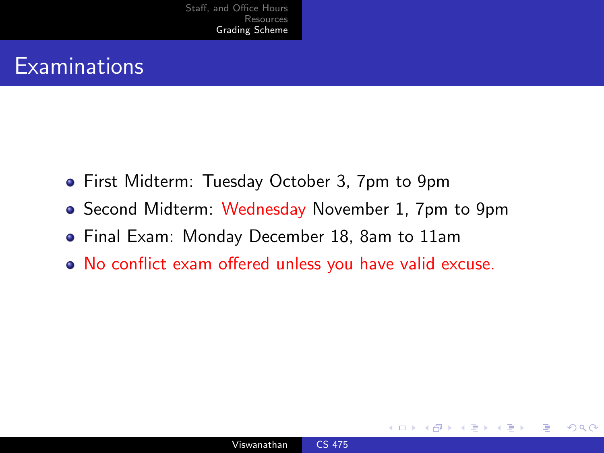### **Examinations**

- First Midterm: Tuesday October 3, 7pm to 9pm
- Second Midterm: Wednesday November 1, 7pm to 9pm
- Final Exam: Monday December 18, 8am to 11am
- No conflict exam offered unless you have valid excuse.

 $\Omega$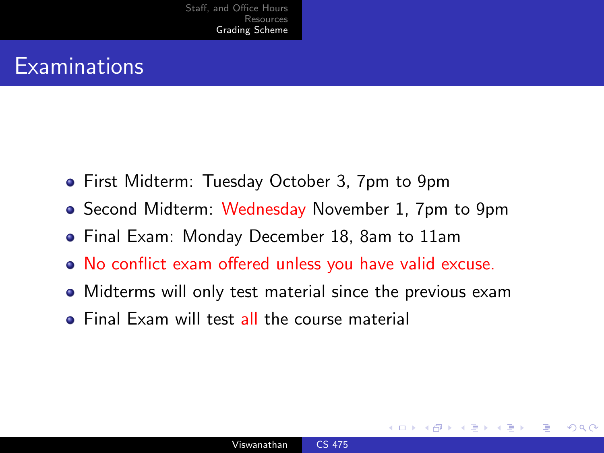### **Examinations**

- First Midterm: Tuesday October 3, 7pm to 9pm
- Second Midterm: Wednesday November 1, 7pm to 9pm
- Final Exam: Monday December 18, 8am to 11am
- No conflict exam offered unless you have valid excuse.
- Midterms will only test material since the previous exam
- **•** Final Exam will test all the course material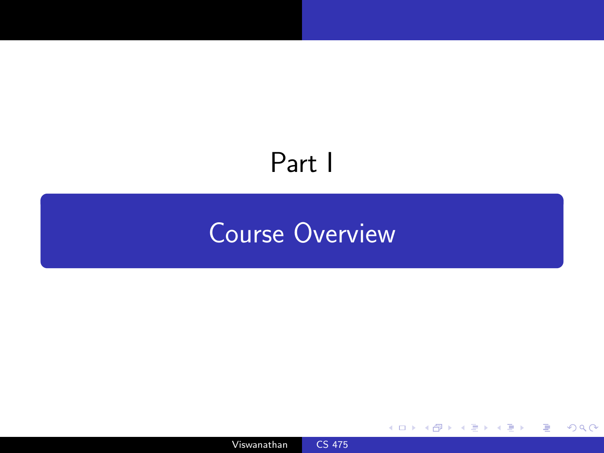# <span id="page-11-0"></span>Part I

## [Course Overview](#page-11-0)

Viswanathan [CS 475](#page-0-0)

 $\leftarrow$ 

- b

 $299$ 

目

∍

Þ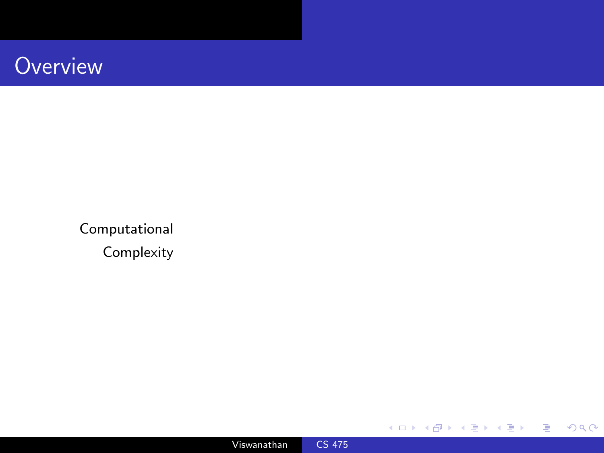Computational Complexity



人居下

4 0 8 ∢母  $\,$ 君  $\mathbf{p}$ ×

目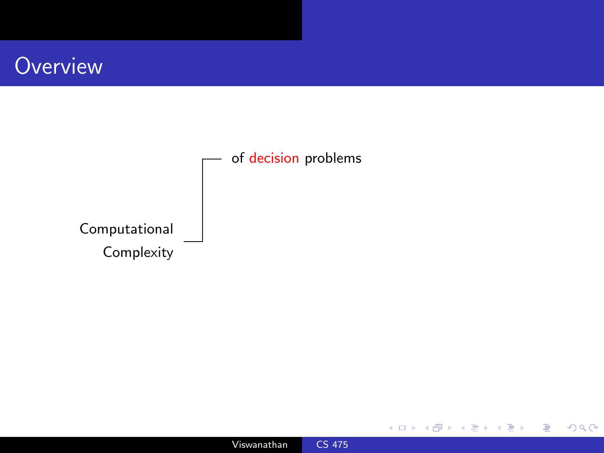



4 0 8

同

× Þ. ∍

Þ. ×. 目  $\,$  Ε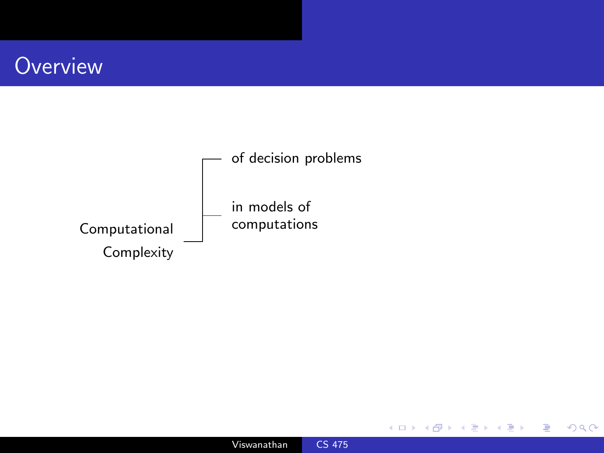



4 0 8

币

 $\mathcal{A}$  $\sim$  Ε

目

Þ

**B**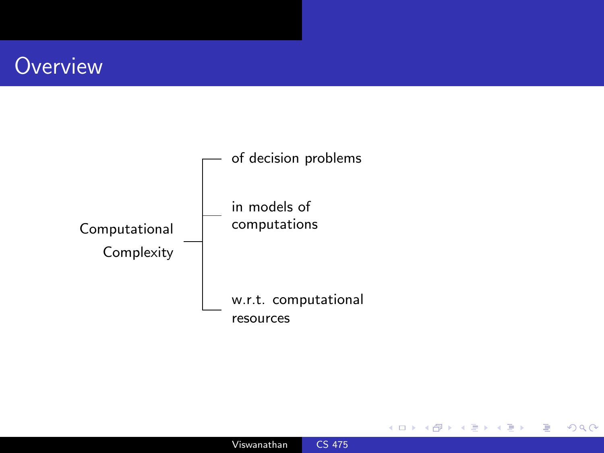

 $\leftarrow$ 

Þ

 $299$ 

∍

∍

**B**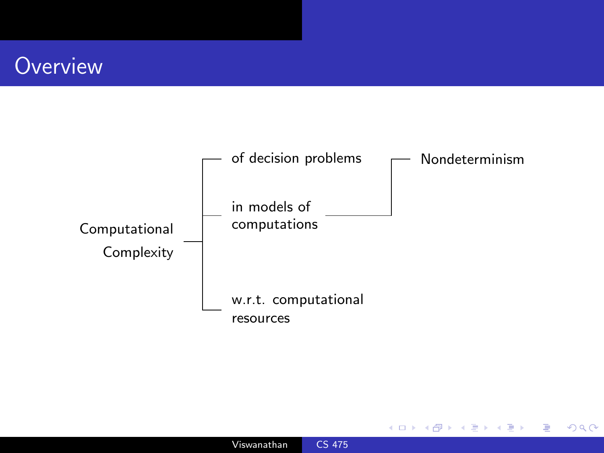

 $\leftarrow$ 

 $\sim$ 

 $299$ 

∍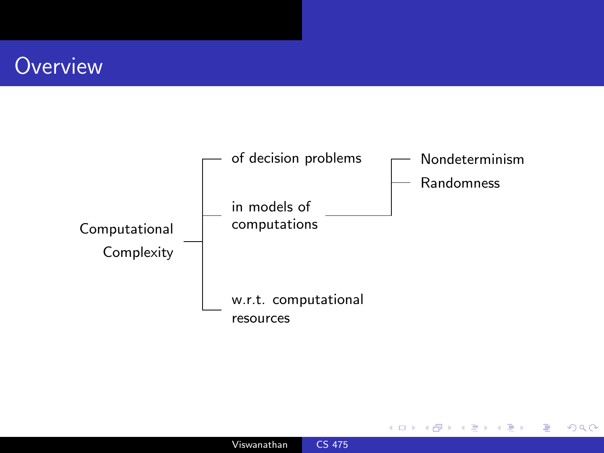

 $\leftarrow$ 

 $\sim$ 

 $299$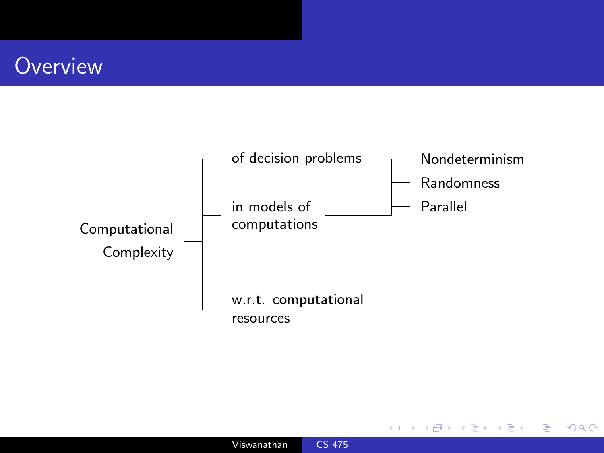

 $\leftarrow$ 

 $\sim$ 

つくへ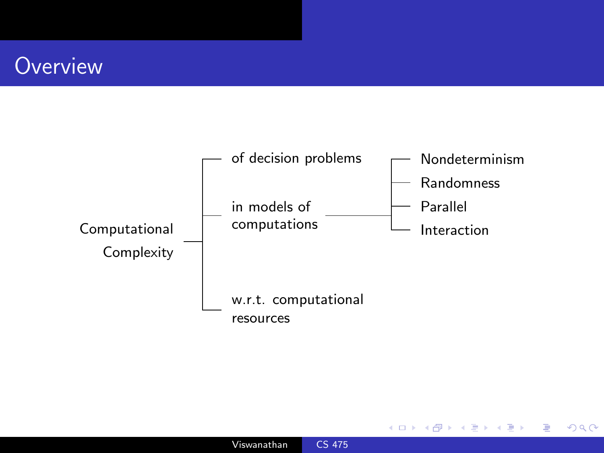

 $\leftarrow$ 

 $\sim$ 

つくへ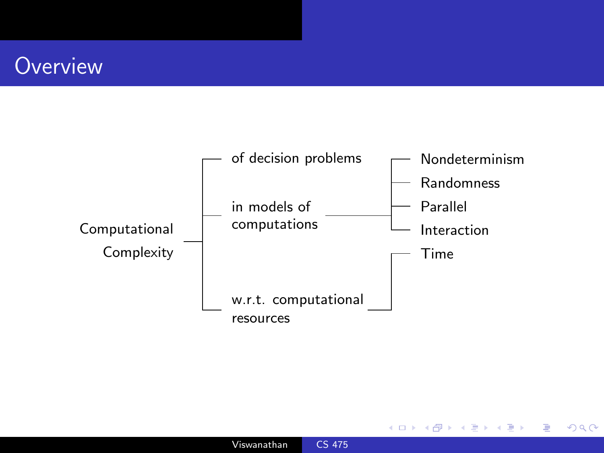

 $\leftarrow$ 

 $\sim$ 

つくへ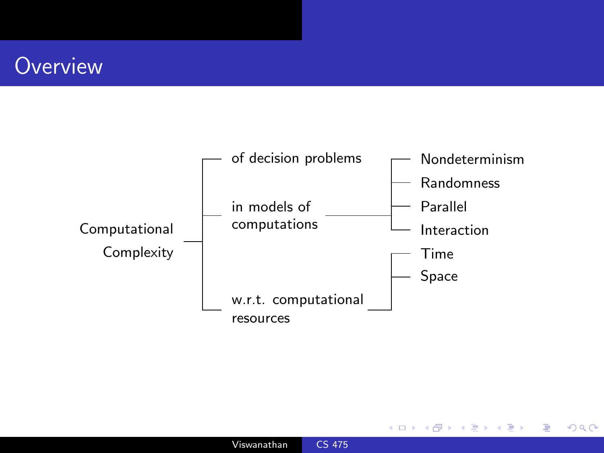

 $\leftarrow$ 

 $\sim$ 

つくへ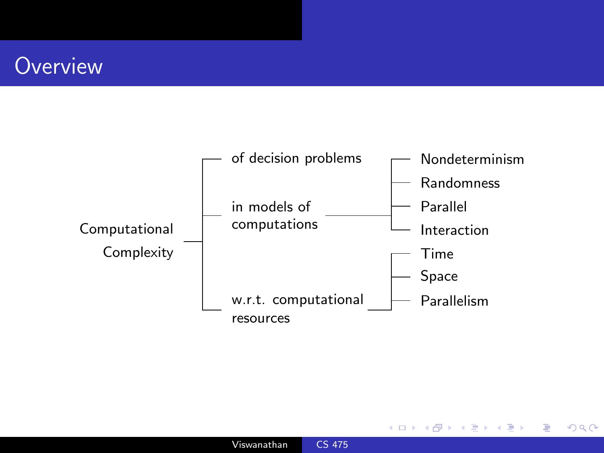

 $\leftarrow$ 

つくへ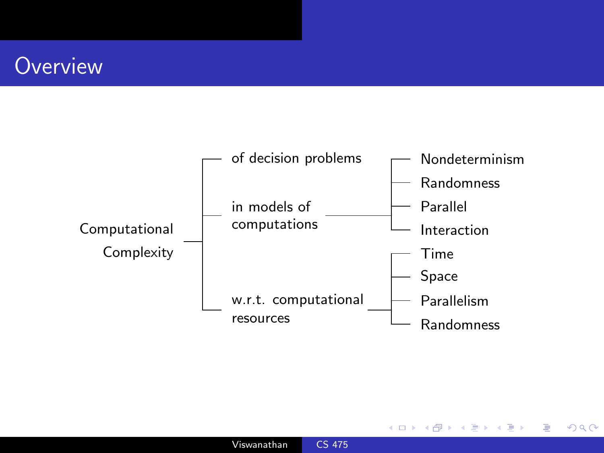

 $\leftarrow$ 

つくへ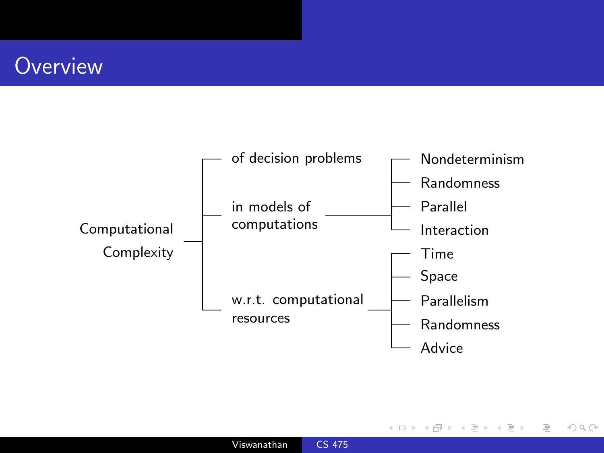

 $\leftarrow$ 

つくへ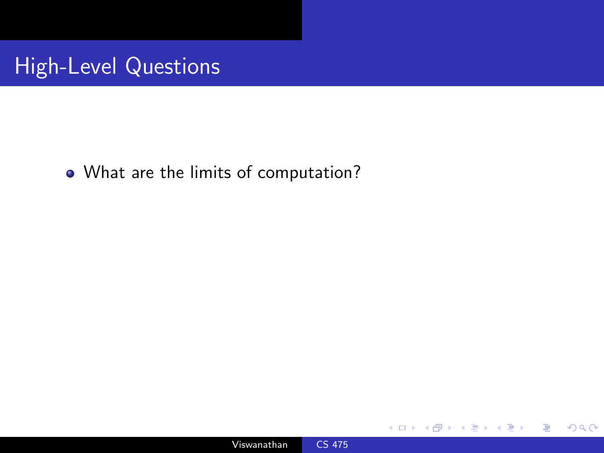### High-Level Questions

What are the limits of computation?



a. Ð  $299$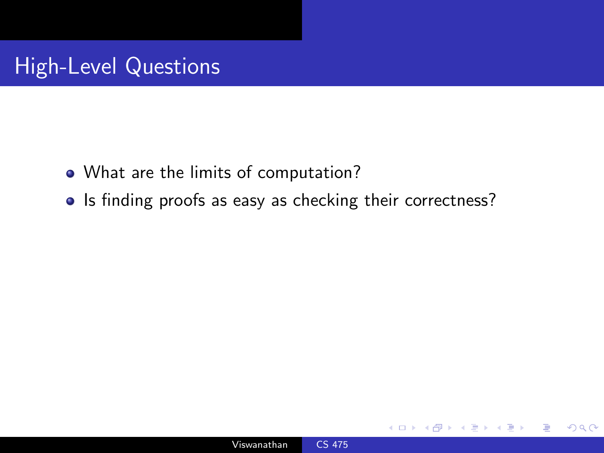- What are the limits of computation?
- Is finding proofs as easy as checking their correctness?

 $\Omega$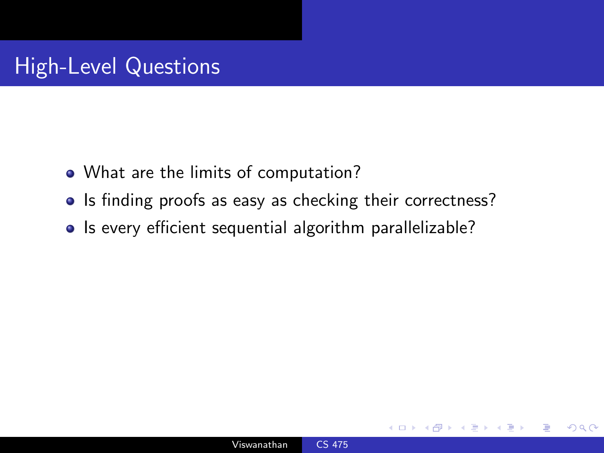- What are the limits of computation?
- Is finding proofs as easy as checking their correctness?
- Is every efficient sequential algorithm parallelizable?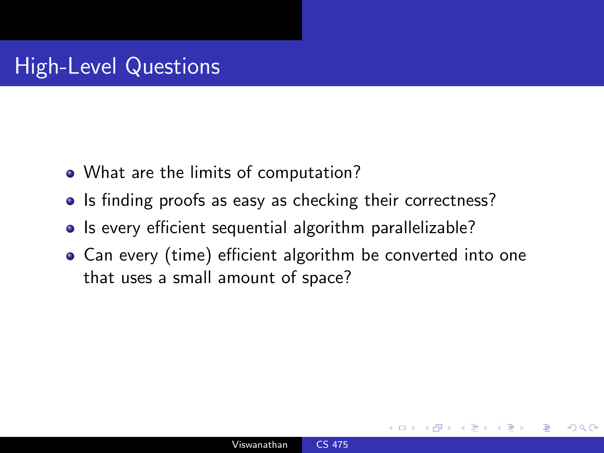- What are the limits of computation?
- Is finding proofs as easy as checking their correctness?
- Is every efficient sequential algorithm parallelizable?
- Can every (time) efficient algorithm be converted into one that uses a small amount of space?